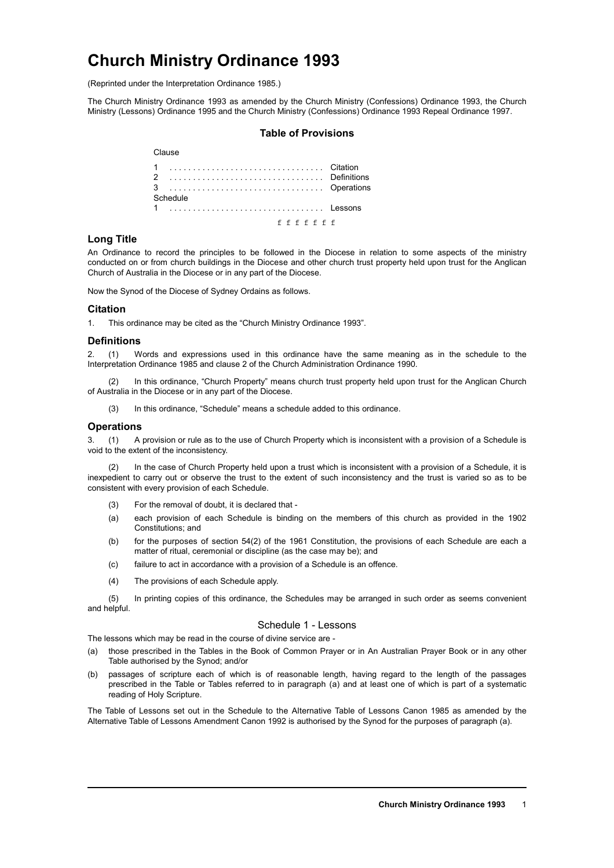# **Church Ministry Ordinance 1993**

(Reprinted under the Interpretation Ordinance 1985.)

The Church Ministry Ordinance 1993 as amended by the Church Ministry (Confessions) Ordinance 1993, the Church Ministry (Lessons) Ordinance 1995 and the Church Ministry (Confessions) Ordinance 1993 Repeal Ordinance 1997.

## **Table of Provisions**

| Clause        |  |
|---------------|--|
|               |  |
|               |  |
| Schedule      |  |
| 1  Lessons    |  |
| f f f f f f f |  |

## **Long Title**

An Ordinance to record the principles to be followed in the Diocese in relation to some aspects of the ministry conducted on or from church buildings in the Diocese and other church trust property held upon trust for the Anglican Church of Australia in the Diocese or in any part of the Diocese.

Now the Synod of the Diocese of Sydney Ordains as follows.

# **Citation**

1. This ordinance may be cited as the "Church Ministry Ordinance 1993".

#### **Definitions**

2. (1) Words and expressions used in this ordinance have the same meaning as in the schedule to the Interpretation Ordinance 1985 and clause 2 of the Church Administration Ordinance 1990.

In this ordinance, "Church Property" means church trust property held upon trust for the Anglican Church of Australia in the Diocese or in any part of the Diocese.

(3) In this ordinance, "Schedule" means a schedule added to this ordinance.

## **Operations**

3. (1) A provision or rule as to the use of Church Property which is inconsistent with a provision of a Schedule is void to the extent of the inconsistency.

In the case of Church Property held upon a trust which is inconsistent with a provision of a Schedule, it is inexpedient to carry out or observe the trust to the extent of such inconsistency and the trust is varied so as to be consistent with every provision of each Schedule.

- (3) For the removal of doubt, it is declared that -
- (a) each provision of each Schedule is binding on the members of this church as provided in the 1902 Constitutions; and
- (b) for the purposes of section 54(2) of the 1961 Constitution, the provisions of each Schedule are each a matter of ritual, ceremonial or discipline (as the case may be); and
- (c) failure to act in accordance with a provision of a Schedule is an offence.
- (4) The provisions of each Schedule apply.

(5) In printing copies of this ordinance, the Schedules may be arranged in such order as seems convenient and helpful.

## Schedule 1 - Lessons

The lessons which may be read in the course of divine service are -

- (a) those prescribed in the Tables in the Book of Common Prayer or in An Australian Prayer Book or in any other Table authorised by the Synod; and/or
- (b) passages of scripture each of which is of reasonable length, having regard to the length of the passages prescribed in the Table or Tables referred to in paragraph (a) and at least one of which is part of a systematic reading of Holy Scripture.

The Table of Lessons set out in the Schedule to the Alternative Table of Lessons Canon 1985 as amended by the Alternative Table of Lessons Amendment Canon 1992 is authorised by the Synod for the purposes of paragraph (a).